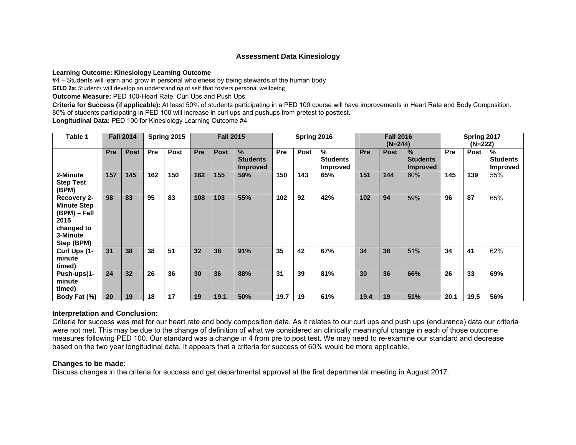## **Assessment Data Kinesiology**

**Learning Outcome: Kinesiology Learning Outcome** 

#4 – Students will learn and grow in personal wholeness by being stewards of the human body

**GELO 2a:** Students will develop an understanding of self that fosters personal wellbeing

**Outcome Measure:** PED 100**-**Heart Rate, Curl Ups and Push Ups

**Criteria for Success (if applicable):** At least 50% of students participating in a PED 100 course will have improvements in Heart Rate and Body Composition. 80% of students participating in PED 100 will increase in curl ups and pushups from pretest to posttest.

**Longitudinal Data:** PED 100 for Kinesiology Learning Outcome #4

| Table 1                                                                                           |            | <b>Fall 2014</b> |            | Spring 2015 |            | <b>Fall 2015</b> |                                            | Spring 2016 |             |                                         | <b>Fall 2016</b><br>$(N=244)$ |             |                                                     | Spring 2017<br>(N=222) |      |                                         |
|---------------------------------------------------------------------------------------------------|------------|------------------|------------|-------------|------------|------------------|--------------------------------------------|-------------|-------------|-----------------------------------------|-------------------------------|-------------|-----------------------------------------------------|------------------------|------|-----------------------------------------|
|                                                                                                   | <b>Pre</b> | <b>Post</b>      | <b>Pre</b> | <b>Post</b> | <b>Pre</b> | <b>Post</b>      | $\%$<br><b>Students</b><br><b>Improved</b> | <b>Pre</b>  | <b>Post</b> | %<br><b>Students</b><br><b>Improved</b> | <b>Pre</b>                    | <b>Post</b> | $\frac{9}{6}$<br><b>Students</b><br><b>Improved</b> | Pre                    | Post | %<br><b>Students</b><br><b>Improved</b> |
| 2-Minute<br><b>Step Test</b><br>(BPM)                                                             | 157        | 145              | 162        | 150         | 162        | 155              | 59%                                        | 150         | 143         | 65%                                     | 151                           | 144         | 60%                                                 | 145                    | 139  | 55%                                     |
| Recovery 2-<br><b>Minute Step</b><br>(BPM) – Fall<br>2015<br>changed to<br>3-Minute<br>Step (BPM) | 98         | 83               | 95         | 83          | 108        | 103              | 55%                                        | 102         | 92          | 42%                                     | 102                           | 94          | 59%                                                 | 96                     | 87   | 65%                                     |
| Curl Ups (1-<br>minute<br>timed)                                                                  | 31         | 38               | 38         | 51          | 32         | 38               | 91%                                        | 35          | 42          | 67%                                     | 34                            | 38          | 51%                                                 | 34                     | 41   | 62%                                     |
| Push-ups(1-<br>minute<br>timed)                                                                   | 24         | 32               | 26         | 36          | 30         | 36               | 88%                                        | 31          | 39          | 81%                                     | 30                            | 36          | 66%                                                 | 26                     | 33   | 69%                                     |
| Body Fat (%)                                                                                      | 20         | 19               | 18         | 17          | 19         | 19.1             | 50%                                        | 19.7        | 19          | 61%                                     | 19.4                          | 19          | 51%                                                 | 20.1                   | 19.5 | 56%                                     |

## **Interpretation and Conclusion:**

Criteria for success was met for our heart rate and body composition data. As it relates to our curl ups and push ups (endurance) data our criteria were not met. This may be due to the change of definition of what we considered an clinically meaningful change in each of those outcome measures following PED 100. Our standard was a change in 4 from pre to post test. We may need to re-examine our standard and decrease based on the two year longitudinal data. It appears that a criteria for success of 60% would be more applicable.

## **Changes to be made:**

Discuss changes in the criteria for success and get departmental approval at the first departmental meeting in August 2017.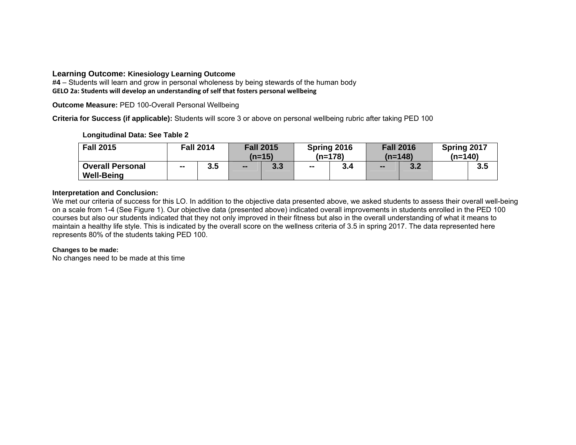## **Learning Outcome: Kinesiology Learning Outcome**

**#4** – Students will learn and grow in personal wholeness by being stewards of the human body **GELO 2a: Students will develop an understanding of self that fosters personal wellbeing**

**Outcome Measure:** PED 100-Overall Personal Wellbeing

**Criteria for Success (if applicable):** Students will score 3 or above on personal wellbeing rubric after taking PED 100

## **Longitudinal Data: See Table 2**

| <b>Fall 2015</b>                             | <b>Fall 2014</b> |     | <b>Fall 2015</b><br>$(n=15)$ |     | Spring 2016<br>$(n=178)$ |     | <b>Fall 2016</b><br>$(n=148)$ |     | Spring 2017<br>$(n=140)$ |     |
|----------------------------------------------|------------------|-----|------------------------------|-----|--------------------------|-----|-------------------------------|-----|--------------------------|-----|
| <b>Overall Personal</b><br><b>Well-Being</b> | $\sim$           | 3.5 | $\sim$                       | 3.3 | $\sim$                   | 3.4 | $\overline{\phantom{m}}$      | 3.2 |                          | 3.5 |

## **Interpretation and Conclusion:**

We met our criteria of success for this LO. In addition to the objective data presented above, we asked students to assess their overall well-being on a scale from 1-4 (See Figure 1). Our objective data (presented above) indicated overall improvements in students enrolled in the PED 100 courses but also our students indicated that they not only improved in their fitness but also in the overall understanding of what it means to maintain a healthy life style. This is indicated by the overall score on the wellness criteria of 3.5 in spring 2017. The data represented here represents 80% of the students taking PED 100.

## **Changes to be made:**

No changes need to be made at this time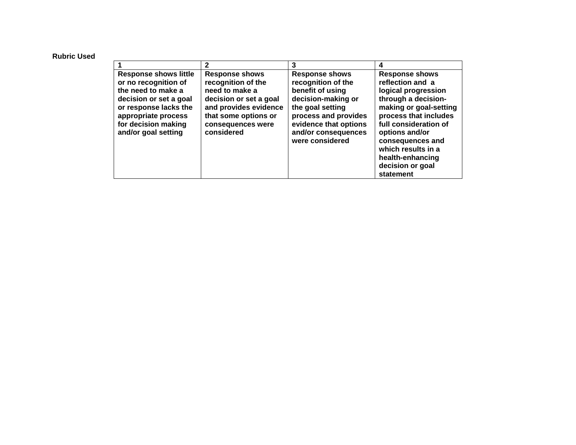#### **Rubric Used**

|                                                                                                                                                                                                    | 2                                                                                                                                                                           |                                                                                                                                                                                                      | 4                                                                                                                                                                                                                                                                                    |
|----------------------------------------------------------------------------------------------------------------------------------------------------------------------------------------------------|-----------------------------------------------------------------------------------------------------------------------------------------------------------------------------|------------------------------------------------------------------------------------------------------------------------------------------------------------------------------------------------------|--------------------------------------------------------------------------------------------------------------------------------------------------------------------------------------------------------------------------------------------------------------------------------------|
| <b>Response shows little</b><br>or no recognition of<br>the need to make a<br>decision or set a goal<br>or response lacks the<br>appropriate process<br>for decision making<br>and/or goal setting | <b>Response shows</b><br>recognition of the<br>need to make a<br>decision or set a goal<br>and provides evidence<br>that some options or<br>consequences were<br>considered | <b>Response shows</b><br>recognition of the<br>benefit of using<br>decision-making or<br>the goal setting<br>process and provides<br>evidence that options<br>and/or consequences<br>were considered | <b>Response shows</b><br>reflection and a<br>logical progression<br>through a decision-<br>making or goal-setting<br>process that includes<br>full consideration of<br>options and/or<br>consequences and<br>which results in a<br>health-enhancing<br>decision or goal<br>statement |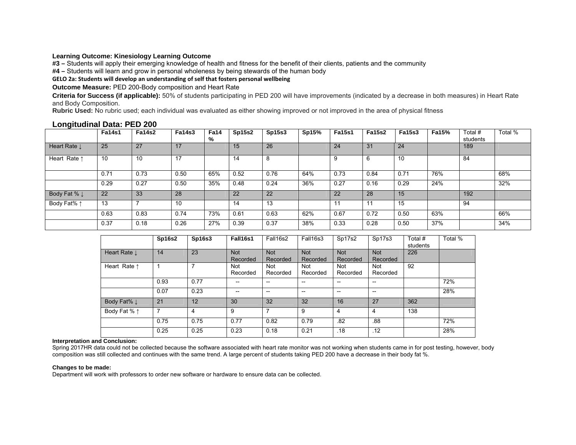#### **Learning Outcome: Kinesiology Learning Outcome**

**#3 –** Students will apply their emerging knowledge of health and fitness for the benefit of their clients, patients and the community

**#4 –** Students will learn and grow in personal wholeness by being stewards of the human body

#### **GELO 2a: Students will develop an understanding of self that fosters personal wellbeing**

**Outcome Measure:** PED 200-Body composition and Heart Rate

**Criteria for Success (if applicable):** 50% of students participating in PED 200 will have improvements (indicated by a decrease in both measures) in Heart Rate and Body Composition.

**Rubric Used:** No rubric used; each individual was evaluated as either showing improved or not improved in the area of physical fitness

|                         | <b>Fa14s1</b> | <b>Fa14s2</b> | <b>Fa14s3</b> | <b>Fa14</b><br>% | <b>Sp15s2</b> | Sp15s3 | Sp15% | <b>Fa15s1</b> | <b>Fa15s2</b> | <b>Fa15s3</b> | Fa15% | Total #<br>students | Total % |
|-------------------------|---------------|---------------|---------------|------------------|---------------|--------|-------|---------------|---------------|---------------|-------|---------------------|---------|
| Heart Rate I            | 25            | 27            | 17            |                  | 15            | 26     |       | 24            | 31            | 24            |       | 189                 |         |
| Heart Rate 1            | 10            | 10            | 17            |                  | 14            | 8      |       | 9             | 6             | 10            |       | 84                  |         |
|                         | 0.71          | 0.73          | 0.50          | 65%              | 0.52          | 0.76   | 64%   | 0.73          | 0.84          | 0.71          | 76%   |                     | 68%     |
|                         | 0.29          | 0.27          | 0.50          | 35%              | 0.48          | 0.24   | 36%   | 0.27          | 0.16          | 0.29          | 24%   |                     | 32%     |
| Body Fat % $\downarrow$ | 22            | 33            | 28            |                  | 22            | 22     |       | 22            | 28            | 15            |       | 192                 |         |
| Body Fat% 1             | 13            |               | 10            |                  | 14            | 13     |       |               |               | 15            |       | 94                  |         |
|                         | 0.63          | 0.83          | 0.74          | 73%              | 0.61          | 0.63   | 62%   | 0.67          | 0.72          | 0.50          | 63%   |                     | 66%     |
|                         | 0.37          | 0.18          | 0.26          | 27%              | 0.39          | 0.37   | 38%   | 0.33          | 0.28          | 0.50          | 37%   |                     | 34%     |

### **Longitudinal Data: PED 200**

|                        | <b>Sp16s2</b> | Sp16s3         | Fall16s1               | Fall16s2                              | Fall16s3                 | Sp17s2                   | Sp17s3                                | Total #<br>students | Total % |
|------------------------|---------------|----------------|------------------------|---------------------------------------|--------------------------|--------------------------|---------------------------------------|---------------------|---------|
| Heart Rate I           | 14            | 23             | <b>Not</b><br>Recorded | <b>Not</b><br>Recorded                | <b>Not</b><br>Recorded   | <b>Not</b><br>Recorded   | <b>Not</b><br>Recorded                | 226                 |         |
| Heart Rate 1           |               | 7              | Not<br>Recorded        | Not<br>Recorded                       | Not<br>Recorded          | Not<br>Recorded          | Not<br>Recorded                       | 92                  |         |
|                        | 0.93          | 0.77           | --                     | $- -$                                 | $\overline{\phantom{a}}$ | $- -$                    | $-$                                   |                     | 72%     |
|                        | 0.07          | 0.23           | --                     | $\hspace{0.05cm}$ – $\hspace{0.05cm}$ | $\overline{\phantom{a}}$ | $\overline{\phantom{a}}$ | $\hspace{0.05cm}$ – $\hspace{0.05cm}$ |                     | 28%     |
| Body Fat% $\downarrow$ | 21            | 12             | 30                     | 32                                    | 32                       | 16                       | 27                                    | 362                 |         |
| Body Fat % 1           | 7             | $\overline{4}$ | 9                      | 7                                     | 9                        | 4                        | 4                                     | 138                 |         |
|                        | 0.75          | 0.75           | 0.77                   | 0.82                                  | 0.79                     | .82                      | .88                                   |                     | 72%     |
|                        | 0.25          | 0.25           | 0.23                   | 0.18                                  | 0.21                     | .18                      | .12                                   |                     | 28%     |

#### **Interpretation and Conclusion:**

Spring 2017HR data could not be collected because the software associated with heart rate monitor was not working when students came in for post testing, however, body composition was still collected and continues with the same trend. A large percent of students taking PED 200 have a decrease in their body fat %.

#### **Changes to be made:**

Department will work with professors to order new software or hardware to ensure data can be collected.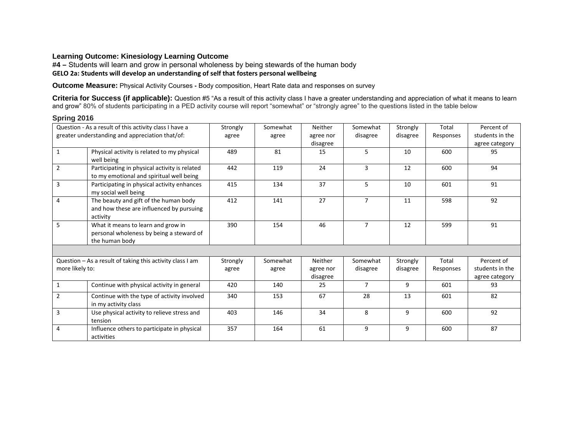# **Learning Outcome: Kinesiology Learning Outcome**

**#4 –** Students will learn and grow in personal wholeness by being stewards of the human body **GELO 2a: Students will develop an understanding of self that fosters personal wellbeing**

**Outcome Measure:** Physical Activity Courses **-** Body composition, Heart Rate data and responses on survey

Criteria for Success (if applicable): Question #5 "As a result of this activity class I have a greater understanding and appreciation of what it means to learn and grow" 80% of students participating in a PED activity course will report "somewhat" or "strongly agree" to the questions listed in the table below

|                 | Question - As a result of this activity class I have a                                           | Strongly | Somewhat | <b>Neither</b> | Somewhat       | Strongly | Total     | Percent of      |
|-----------------|--------------------------------------------------------------------------------------------------|----------|----------|----------------|----------------|----------|-----------|-----------------|
|                 | greater understanding and appreciation that/of:                                                  | agree    | agree    | agree nor      | disagree       | disagree | Responses | students in the |
|                 |                                                                                                  |          |          | disagree       |                |          |           | agree category  |
| $\mathbf{1}$    | Physical activity is related to my physical<br>well being                                        | 489      | 81       | 15             | 5              | 10       | 600       | 95              |
| $\overline{2}$  | Participating in physical activity is related<br>to my emotional and spiritual well being        | 442      | 119      | 24             | 3              | 12       | 600       | 94              |
| $\overline{3}$  | Participating in physical activity enhances<br>my social well being                              | 415      | 134      | 37             | 5              | 10       | 601       | 91              |
| 4               | The beauty and gift of the human body<br>and how these are influenced by pursuing<br>activity    | 412      | 141      | 27             | $\overline{7}$ | 11       | 598       | 92              |
| 5               | What it means to learn and grow in<br>personal wholeness by being a steward of<br>the human body | 390      | 154      | 46             | $\overline{7}$ | 12       | 599       | 91              |
|                 |                                                                                                  |          |          |                |                |          |           |                 |
|                 | Question - As a result of taking this activity class I am                                        | Strongly | Somewhat | <b>Neither</b> | Somewhat       | Strongly | Total     | Percent of      |
| more likely to: |                                                                                                  | agree    | agree    | agree nor      | disagree       | disagree | Responses | students in the |
|                 |                                                                                                  |          |          | disagree       |                |          |           | agree category  |
| $\mathbf{1}$    | Continue with physical activity in general                                                       | 420      | 140      | 25             | $\overline{7}$ | 9        | 601       | 93              |
| $\overline{2}$  | Continue with the type of activity involved<br>in my activity class                              | 340      | 153      | 67             | 28             | 13       | 601       | 82              |
| 3               | Use physical activity to relieve stress and<br>tension                                           | 403      | 146      | 34             | 8              | 9        | 600       | 92              |
| 4               | Influence others to participate in physical<br>activities                                        | 357      | 164      | 61             | 9              | 9        | 600       | 87              |

### **Spring 2016**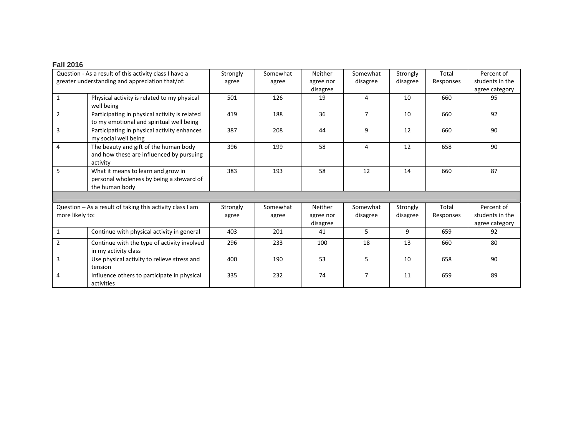#### **Fall 2016**

|                 | Question - As a result of this activity class I have a    | Strongly | Somewhat | Neither   | Somewhat       | Strongly | Total     | Percent of      |
|-----------------|-----------------------------------------------------------|----------|----------|-----------|----------------|----------|-----------|-----------------|
|                 | greater understanding and appreciation that/of:           | agree    | agree    | agree nor | disagree       | disagree | Responses | students in the |
|                 |                                                           |          |          | disagree  |                |          |           | agree category  |
| 1               | Physical activity is related to my physical               | 501      | 126      | 19        | 4              | 10       | 660       | 95              |
|                 | well being                                                |          |          |           |                |          |           |                 |
|                 |                                                           |          |          |           |                |          |           |                 |
| $\overline{2}$  | Participating in physical activity is related             | 419      | 188      | 36        | $\overline{7}$ | 10       | 660       | 92              |
|                 | to my emotional and spiritual well being                  |          |          |           |                |          |           |                 |
| 3               | Participating in physical activity enhances               | 387      | 208      | 44        | 9              | 12       | 660       | 90              |
|                 | my social well being                                      |          |          |           |                |          |           |                 |
| 4               | The beauty and gift of the human body                     | 396      | 199      | 58        | 4              | 12       | 658       | 90              |
|                 | and how these are influenced by pursuing                  |          |          |           |                |          |           |                 |
|                 | activity                                                  |          |          |           |                |          |           |                 |
|                 |                                                           |          |          |           |                |          |           |                 |
| 5               | What it means to learn and grow in                        | 383      | 193      | 58        | 12             | 14       | 660       | 87              |
|                 | personal wholeness by being a steward of                  |          |          |           |                |          |           |                 |
|                 | the human body                                            |          |          |           |                |          |           |                 |
|                 |                                                           |          |          |           |                |          |           |                 |
|                 | Question - As a result of taking this activity class I am | Strongly | Somewhat | Neither   | Somewhat       | Strongly | Total     | Percent of      |
| more likely to: |                                                           | agree    | agree    | agree nor | disagree       | disagree | Responses | students in the |
|                 |                                                           |          |          | disagree  |                |          |           | agree category  |
| 1               | Continue with physical activity in general                | 403      | 201      | 41        | 5              | 9        | 659       | 92              |
|                 |                                                           |          |          |           |                |          |           |                 |
| $\overline{2}$  | Continue with the type of activity involved               | 296      | 233      | 100       | 18             | 13       | 660       | 80              |
|                 | in my activity class                                      |          |          |           |                |          |           |                 |
| 3               | Use physical activity to relieve stress and               | 400      | 190      | 53        | 5              | 10       | 658       | 90              |
|                 | tension                                                   |          |          |           |                |          |           |                 |
|                 |                                                           |          |          |           | $\overline{7}$ | 11       |           |                 |
| 4               | Influence others to participate in physical               | 335      | 232      | 74        |                |          | 659       | 89              |
|                 | activities                                                |          |          |           |                |          |           |                 |